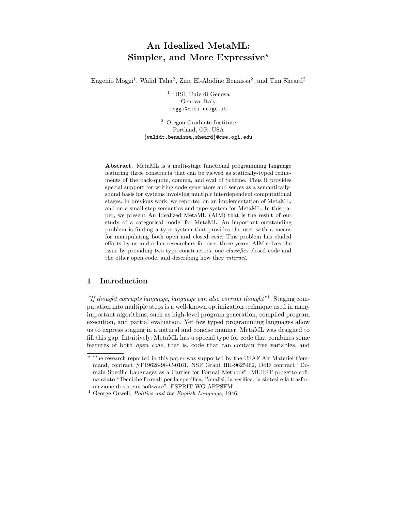# An Idealized MetaML: Simpler, and More Expressive\*

Eugenio Moggi<sup>1</sup>, Walid Taha<sup>2</sup>, Zine El-Abidine Benaissa<sup>2</sup>, and Tim Sheard<sup>2</sup>

<sup>1</sup> DISI, Univ di Genova Genova, Italy moggi@disi.unige.it

<sup>2</sup> Oregon Graduate Institute Portland, OR, USA {walidt,benaissa,sheard}@cse.ogi.edu

Abstract. MetaML is a multi-stage functional programming language featuring three constructs that can be viewed as statically-typed refinements of the back-quote, comma, and eval of Scheme. Thus it provides special support for writing code generators and serves as a semanticallysound basis for systems involving multiple interdependent computational stages. In previous work, we reported on an implementation of MetaML, and on a small-step semantics and type-system for MetaML. In this paper, we present An Idealized MetaML (AIM) that is the result of our study of a categorical model for MetaML. An important outstanding problem is finding a type system that provides the user with a means for manipulating both open and closed code. This problem has eluded efforts by us and other researchers for over three years. AIM solves the issue by providing two type constructors, one classifies closed code and the other open code, and describing how they interact.

# 1 Introduction

"If thought corrupts language, language can also corrupt thought"1. Staging computation into multiple steps is a well-known optimization technique used in many important algorithms, such as high-level program generation, compiled program execution, and partial evaluation. Yet few typed programming languages allow us to express staging in a natural and concise manner. MetaML was designed to fill this gap. Intuitively, MetaML has a special type for code that combines some features of both open code, that is, code that can contain free variables, and

<sup>?</sup> The research reported in this paper was supported by the USAF Air Materiel Command, contract #F19628-96-C-0161, NSF Grant IRI-9625462, DoD contract "Domain Specific Languages as a Carrier for Formal Methods", MURST progetto cofinanziato "Tecniche formali per la specifica, l'analisi, la verifica, la sintesi e la trasformazione di sistemi software", ESPRIT WG APPSEM

<sup>&</sup>lt;sup>1</sup> George Orwell, *Politics and the English Language*, 1946.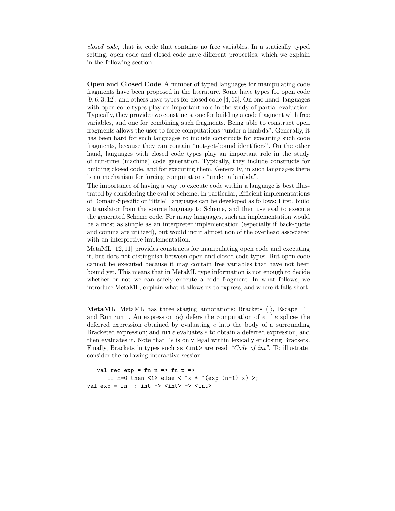closed code, that is, code that contains no free variables. In a statically typed setting, open code and closed code have different properties, which we explain in the following section.

Open and Closed Code A number of typed languages for manipulating code fragments have been proposed in the literature. Some have types for open code [9, 6, 3, 12], and others have types for closed code [4, 13]. On one hand, languages with open code types play an important role in the study of partial evaluation. Typically, they provide two constructs, one for building a code fragment with free variables, and one for combining such fragments. Being able to construct open fragments allows the user to force computations "under a lambda". Generally, it has been hard for such languages to include constructs for executing such code fragments, because they can contain "not-yet-bound identifiers". On the other hand, languages with closed code types play an important role in the study of run-time (machine) code generation. Typically, they include constructs for building closed code, and for executing them. Generally, in such languages there is no mechanism for forcing computations "under a lambda".

The importance of having a way to execute code within a language is best illustrated by considering the eval of Scheme. In particular, Efficient implementations of Domain-Specific or "little" languages can be developed as follows: First, build a translator from the source language to Scheme, and then use eval to execute the generated Scheme code. For many languages, such an implementation would be almost as simple as an interpreter implementation (especially if back-quote and comma are utilized), but would incur almost non of the overhead associated with an interpretive implementation.

MetaML [12, 11] provides constructs for manipulating open code and executing it, but does not distinguish between open and closed code types. But open code cannot be executed because it may contain free variables that have not been bound yet. This means that in MetaML type information is not enough to decide whether or not we can safely execute a code fragment. In what follows, we introduce MetaML, explain what it allows us to express, and where it falls short.

**MetaML** MetaML has three staging annotations: Brackets  $\langle \cdot \rangle$ , Escape  $\tilde{\phantom{a}}$ and Run run . An expression  $\langle e \rangle$  defers the computation of e;  $\tilde{e}$  e splices the deferred expression obtained by evaluating  $e$  into the body of a surrounding Bracketed expression; and run e evaluates e to obtain a deferred expression, and then evaluates it. Note that  $\tilde{e}$  is only legal within lexically enclosing Brackets. Finally, Brackets in types such as  $\langle \text{int} \rangle$  are read "Code of int". To illustrate, consider the following interactive session:

 $-$ | val rec exp = fn n => fn x => if n=0 then  $\langle 1 \rangle$  else  $\langle x \times (e^{i\pi} \cdot (n-1) \cdot x) \rangle$ ; val  $exp = fn$  :  $int \rightarrow$  < $int$ >  $\rightarrow$  < $int$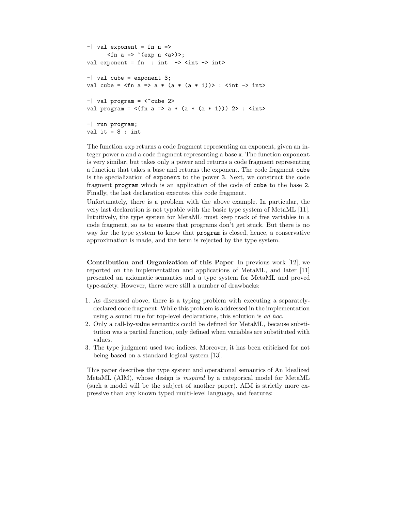```
-| val exponent = fn n =>
       \langlefn a => ~(exp n \langlea>)>;
val exponent = fn : int \rightarrow <int \rightarrow int>
-| val cube = exponent 3;
val cube = \langlefn a => a * (a * (a * 1))> : \langleint -> int>
-| val program = \langle cube 2>
val program = \langle(fn a => a * (a * (a * 1))) 2> : \langleint>
-| run program;
val it = 8: int
```
The function exp returns a code fragment representing an exponent, given an integer power n and a code fragment representing a base x. The function exponent is very similar, but takes only a power and returns a code fragment representing a function that takes a base and returns the exponent. The code fragment cube is the specialization of exponent to the power 3. Next, we construct the code fragment program which is an application of the code of cube to the base 2. Finally, the last declaration executes this code fragment.

Unfortunately, there is a problem with the above example. In particular, the very last declaration is not typable with the basic type system of MetaML [11]. Intuitively, the type system for MetaML must keep track of free variables in a code fragment, so as to ensure that programs don't get stuck. But there is no way for the type system to know that program is closed, hence, a conservative approximation is made, and the term is rejected by the type system.

Contribution and Organization of this Paper In previous work [12], we reported on the implementation and applications of MetaML, and later [11] presented an axiomatic semantics and a type system for MetaML and proved type-safety. However, there were still a number of drawbacks:

- 1. As discussed above, there is a typing problem with executing a separatelydeclared code fragment. While this problem is addressed in the implementation using a sound rule for top-level declarations, this solution is ad hoc.
- 2. Only a call-by-value semantics could be defined for MetaML, because substitution was a partial function, only defined when variables are substituted with values.
- 3. The type judgment used two indices. Moreover, it has been criticized for not being based on a standard logical system [13].

This paper describes the type system and operational semantics of An Idealized MetaML (AIM), whose design is inspired by a categorical model for MetaML (such a model will be the subject of another paper). AIM is strictly more expressive than any known typed multi-level language, and features: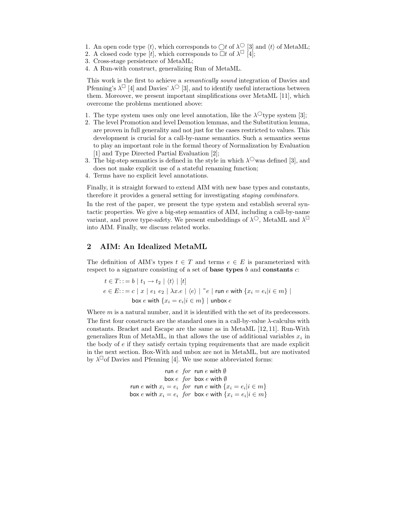- 1. An open code type  $\langle t \rangle$ , which corresponds to  $\bigcap t$  of  $\lambda^{\bigcirc}$  [3] and  $\langle t \rangle$  of MetaML;
- 2. A closed code type  $[t]$ , which corresponds to  $\overline{\square}t$  of  $\lambda^{\square}$  [4];
- 3. Cross-stage persistence of MetaML;
- 4. A Run-with construct, generalizing Run of MetaML.

This work is the first to achieve a semantically sound integration of Davies and Pfenning's  $\lambda^{\Box}$  [4] and Davies'  $\lambda^{\bigcirc}$  [3], and to identify useful interactions between them. Moreover, we present important simplifications over MetaML [11], which overcome the problems mentioned above:

- 1. The type system uses only one level annotation, like the  $\lambda^{\circ}$  type system [3];
- 2. The level Promotion and level Demotion lemmas, and the Substitution lemma, are proven in full generality and not just for the cases restricted to values. This development is crucial for a call-by-name semantics. Such a semantics seems to play an important role in the formal theory of Normalization by Evaluation [1] and Type Directed Partial Evaluation [2];
- 3. The big-step semantics is defined in the style in which  $\lambda^{\circ}$  was defined [3], and does not make explicit use of a stateful renaming function;
- 4. Terms have no explicit level annotations.

Finally, it is straight forward to extend AIM with new base types and constants, therefore it provides a general setting for investigating staging combinators.

In the rest of the paper, we present the type system and establish several syntactic properties. We give a big-step semantics of AIM, including a call-by-name variant, and prove type-safety. We present embeddings of  $\lambda^{\bigcirc}$ , MetaML and  $\lambda^{\square}$ into AIM. Finally, we discuss related works.

# 2 AIM: An Idealized MetaML

The definition of AIM's types  $t \in T$  and terms  $e \in E$  is parameterized with respect to a signature consisting of a set of base types  $b$  and constants  $c$ :

$$
t \in T: := b \mid t_1 \to t_2 \mid \langle t \rangle \mid [t]
$$
  
\n
$$
e \in E: := c \mid x \mid e_1 \mid e_2 \mid \lambda x. e \mid \langle e \rangle \mid \tilde{e} \mid \text{run } e \text{ with } \{x_i = e_i | i \in m\} \mid \text{box } e \text{ with } \{x_i = e_i | i \in m\} \mid \text{unbox } e
$$

Where  $m$  is a natural number, and it is identified with the set of its predecessors. The first four constructs are the standard ones in a call-by-value  $\lambda$ -calculus with constants. Bracket and Escape are the same as in MetaML [12, 11]. Run-With generalizes Run of MetaML, in that allows the use of additional variables  $x_i$  in the body of e if they satisfy certain typing requirements that are made explicit in the next section. Box-With and unbox are not in MetaML, but are motivated by  $\lambda^{\square}$  of Davies and Pfenning [4]. We use some abbreviated forms:

$$
\begin{array}{ll}\n\text{run } e \quad \text{for} \quad \text{run } e \text{ with } \emptyset \\
\text{box } e \quad \text{for} \quad \text{box } e \text{ with } \emptyset \\
\text{run } e \text{ with } x_i = e_i \quad \text{for} \quad \text{run } e \text{ with } \{x_i = e_i | i \in m\} \\
\text{box } e \text{ with } x_i = e_i \quad \text{for} \quad \text{box } e \text{ with } \{x_i = e_i | i \in m\} \\
\end{array}
$$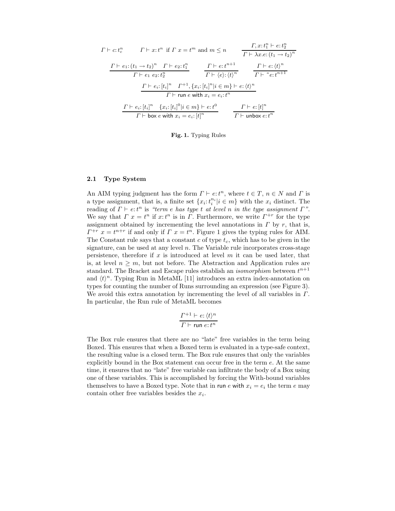$$
\Gamma \vdash c : t_c^n \qquad \Gamma \vdash x : t^n \text{ if } \Gamma \ x = t^m \text{ and } m \le n \qquad \frac{\Gamma, x : t_1^n \vdash e : t_2^n}{\Gamma \vdash \lambda x . e : (t_1 \to t_2)^n}
$$
\n
$$
\frac{\Gamma \vdash e_1 : (t_1 \to t_2)^n \quad \Gamma \vdash e_2 : t_1^n}{\Gamma \vdash e_1 \ e_2 : t_2^n} \qquad \frac{\Gamma \vdash e : t^{n+1}}{\Gamma \vdash \langle e \rangle : \langle t \rangle^n} \qquad \frac{\Gamma \vdash e : \langle t \rangle^n}{\Gamma \vdash \neg e : t^{n+1}}
$$
\n
$$
\frac{\Gamma \vdash e_i : [t_i]^n \quad \Gamma^{+1}, \{x_i : [t_i]^n | i \in m\} \vdash e : \langle t \rangle^n}{\Gamma \vdash \text{run } e \text{ with } x_i = e_i : t^n}
$$
\n
$$
\frac{\Gamma \vdash e_i : [t_i]^n \quad \{x_i : [t_i]^0 | i \in m\} \vdash e : t^0}{\Gamma \vdash \text{unbox } e : t^n} \qquad \frac{\Gamma \vdash e : [t]^n}{\Gamma \vdash \text{unbox } e : t^n}
$$

Fig. 1. Typing Rules

### 2.1 Type System

An AIM typing judgment has the form  $\Gamma \vdash e:t^n$ , where  $t \in T$ ,  $n \in N$  and  $\Gamma$  is a type assignment, that is, a finite set  $\{x_i : t_i^{n_i} | i \in m\}$  with the  $x_i$  distinct. The reading of  $\Gamma \vdash e:t^n$  is "term e has type t at level n in the type assignment  $\Gamma$ ". We say that  $\Gamma x = t^n$  if  $x:t^n$  is in  $\Gamma$ . Furthermore, we write  $\Gamma^{+r}$  for the type assignment obtained by incrementing the level annotations in  $\Gamma$  by  $r$ , that is,  $\Gamma^{+r}$   $x = t^{n+r}$  if and only if  $\Gamma$   $x = t^n$ . Figure 1 gives the typing rules for AIM. The Constant rule says that a constant c of type  $t_c$ , which has to be given in the signature, can be used at any level  $n$ . The Variable rule incorporates cross-stage persistence, therefore if  $x$  is introduced at level  $m$  it can be used later, that is, at level  $n \geq m$ , but not before. The Abstraction and Application rules are standard. The Bracket and Escape rules establish an *isomorphism* between  $t^{n+1}$ and  $\langle t \rangle^n$ . Typing Run in MetaML [11] introduces an extra index-annotation on types for counting the number of Runs surrounding an expression (see Figure 3). We avoid this extra annotation by incrementing the level of all variables in Γ. In particular, the Run rule of MetaML becomes

$$
\frac{\varGamma^{+1} \vdash e : \langle t \rangle^n}{\varGamma \vdash \mathsf{run}\ e : t^n}
$$

The Box rule ensures that there are no "late" free variables in the term being Boxed. This ensures that when a Boxed term is evaluated in a type-safe context, the resulting value is a closed term. The Box rule ensures that only the variables explicitly bound in the Box statement can occur free in the term e. At the same time, it ensures that no "late" free variable can infiltrate the body of a Box using one of these variables. This is accomplished by forcing the With-bound variables themselves to have a Boxed type. Note that in run e with  $x_i = e_i$  the term e may contain other free variables besides the  $x_i$ .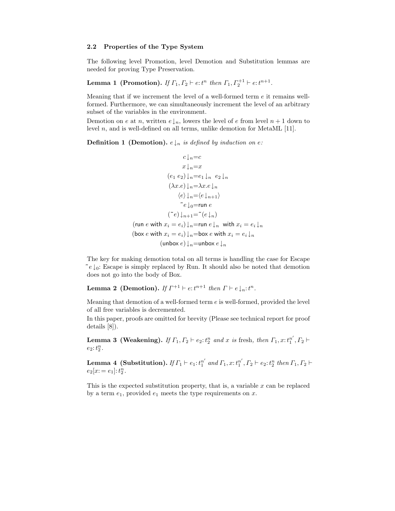### 2.2 Properties of the Type System

The following level Promotion, level Demotion and Substitution lemmas are needed for proving Type Preservation.

**Lemma 1 (Promotion).** If  $\Gamma_1, \Gamma_2 \vdash e \colon t^n$  then  $\Gamma_1, \Gamma_2^{+1} \vdash e \colon t^{n+1}$ .

Meaning that if we increment the level of a well-formed term  $e$  it remains wellformed. Furthermore, we can simultaneously increment the level of an arbitrary subset of the variables in the environment.

Demotion on e at n, written  $e\downarrow_n$ , lowers the level of e from level  $n + 1$  down to level  $n$ , and is well-defined on all terms, unlike demotion for MetaML [11].

**Definition 1** (Demotion).  $e \downarrow_n$  is defined by induction on e:

$$
c \downarrow_n = c
$$
  
\n
$$
x \downarrow_n = x
$$
  
\n
$$
(e_1 e_2) \downarrow_n = e_1 \downarrow_n e_2 \downarrow_n
$$
  
\n
$$
(\lambda x.e) \downarrow_n = \lambda x.e \downarrow_n
$$
  
\n
$$
\langle e \rangle \downarrow_n = \langle e \downarrow_{n+1} \rangle
$$
  
\n
$$
e \downarrow_0 = \text{run } e
$$
  
\n
$$
(\check{e}) \downarrow_{n+1} = (\check{e} \downarrow_n)
$$
  
\n
$$
(\text{run } e \text{ with } x_i = e_i) \downarrow_n = \text{run } e \downarrow_n \text{ with } x_i = e_i \downarrow_n
$$
  
\n
$$
(\text{box } e \text{ with } x_i = e_i) \downarrow_n = \text{box } e \text{ with } x_i = e_i \downarrow_n
$$
  
\n
$$
(\text{unbox } e) \downarrow_n = \text{unbox } e \downarrow_n
$$

The key for making demotion total on all terms is handling the case for Escape  $\tilde{e} \downarrow_0$ : Escape is simply replaced by Run. It should also be noted that demotion does not go into the body of Box.

**Lemma 2** (Demotion). If  $\Gamma^{+1} \vdash e:t^{n+1}$  then  $\Gamma \vdash e \downarrow_n:t^n$ .

Meaning that demotion of a well-formed term  $e$  is well-formed, provided the level of all free variables is decremented.

In this paper, proofs are omitted for brevity (Please see technical report for proof details [8]).

**Lemma 3 (Weakening).** If  $\Gamma_1, \Gamma_2 \vdash e_2 \colon t_2^n$  and x is fresh, then  $\Gamma_1, x \colon t_1^{n'}$  $_1^{n'}, \Gamma_2 \vdash$  $e_2$ :  $t_2^n$ .

Lemma 4 (Substitution). If  $\varGamma_1 \vdash e_1$ :  $t_1^{n'}$  $n'_{1}$  and  $\Gamma_{1}$ ,  $x$ :  $t_{1}^{n'}$  $n', T_2 \vdash e_2 : t_2^n \ then \Gamma_1, \Gamma_2 \vdash$  $e_2[x; = e_1]; t_2^n.$ 

This is the expected substitution property, that is, a variable  $x$  can be replaced by a term  $e_1$ , provided  $e_1$  meets the type requirements on  $x$ .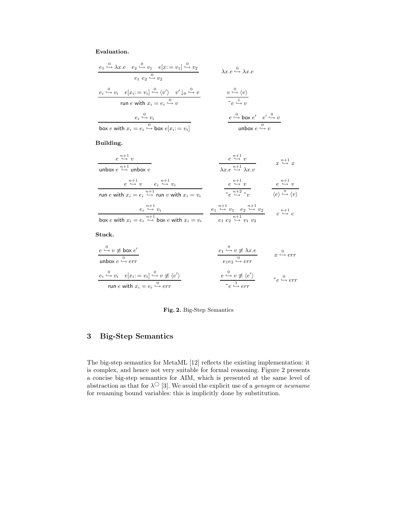# Evaluation.

$$
\frac{e_1 \overset{0}{\longleftrightarrow} \lambda x.e \quad e_2 \overset{0}{\longleftrightarrow} v_1 \quad e[x := v_1] \overset{0}{\longleftrightarrow} v_2}{e_1 \quad e_2 \overset{0}{\longleftrightarrow} v_2}
$$
\n
$$
\frac{e_i \overset{0}{\longleftrightarrow} v_i \quad e[x_i := v_i] \overset{0}{\longleftrightarrow} \langle v' \rangle \quad v' \downarrow_0 \overset{0}{\longleftrightarrow} v}{\text{run } e \text{ with } x_i = e_i \overset{0}{\longleftrightarrow} v}
$$
\n
$$
\frac{e \overset{0}{\longleftrightarrow} \langle v \rangle}{\text{box } e \text{ with } x_i = e_i \overset{0}{\longleftrightarrow} v}
$$
\n
$$
\frac{e \overset{0}{\longleftrightarrow} \langle v \rangle}{\text{box } e \text{ with } x_i = e_i \overset{0}{\longleftrightarrow} \text{box } e[x_i := v_i]}
$$
\n
$$
\frac{e \overset{0}{\longleftrightarrow} \text{box } e' \overset{0}{\longleftrightarrow} v}{\text{unbox } e \overset{0}{\longleftrightarrow} v}
$$

Building.

| $e \overset{n+1}{\hookrightarrow} v$<br>unbox $e \stackrel{n+1}{\hookrightarrow}$ unbox $v$                                                                           | $e \overset{n+1}{\hookrightarrow} v$<br>$\lambda x.e \stackrel{n+1}{\hookrightarrow} \lambda x.v$                                            | $x \overset{n+1}{\hookrightarrow} x$                                                                        |
|-----------------------------------------------------------------------------------------------------------------------------------------------------------------------|----------------------------------------------------------------------------------------------------------------------------------------------|-------------------------------------------------------------------------------------------------------------|
| $e \stackrel{n+1}{\hookrightarrow} v \qquad e_i \stackrel{n+1}{\hookrightarrow} v_i$<br>run e with $x_i = e_i \stackrel{n+1}{\hookrightarrow}$ run v with $x_i = v_i$ | $e \stackrel{n+1}{\hookrightarrow} v$<br>$\sim e \stackrel{n+2}{\hookrightarrow} \sim v$                                                     | $e \overset{n+1}{\hookrightarrow} v$<br>$\langle e \rangle \stackrel{n}{\hookrightarrow} \langle v \rangle$ |
| $e_i \stackrel{n+1}{\hookrightarrow} v_i$<br>box e with $x_i = e_i \stackrel{n+1}{\hookrightarrow}$ box e with $x_i = v_i$                                            | $e_1 \stackrel{n+1}{\hookrightarrow} v_1 \quad e_2 \stackrel{n+1}{\hookrightarrow} v_2$<br>$e_1 e_2 \stackrel{n+1}{\hookrightarrow} v_1 v_2$ | $c \stackrel{n+1}{\hookrightarrow} c$                                                                       |

Stuck.

| $e \xrightarrow{0} v \neq \text{box } e'$ | $e_1 \xrightarrow{0} v \neq \lambda x.e$                  | $e_2 \xrightarrow{0} err$                     | $e_3 \xrightarrow{0} err$                     |                                               |                         |                         |                         |
|-------------------------------------------|-----------------------------------------------------------|-----------------------------------------------|-----------------------------------------------|-----------------------------------------------|-------------------------|-------------------------|-------------------------|
| $e_i \xrightarrow{0} v_i$                 | $e[x_i := v_i] \xrightarrow{0} v \neq \langle e' \rangle$ | $e \xrightarrow{0} v \neq \langle e' \rangle$ | $e \xrightarrow{0} v \neq \langle e' \rangle$ | $e \xrightarrow{0} v \neq \langle e' \rangle$ | $e \xrightarrow{0} err$ | $e \xrightarrow{0} err$ | $e \xrightarrow{0} err$ |

### Fig. 2. Big-Step Semantics

# 3 Big-Step Semantics

The big-step semantics for MetaML [12] reflects the existing implementation: it is complex, and hence not very suitable for formal reasoning. Figure 2 presents a concise big-step semantics for AIM, which is presented at the same level of abstraction as that for  $\lambda$ <sup>O</sup> [3]. We avoid the explicit use of a *gensym* or *newname* for renaming bound variables: this is implicitly done by substitution.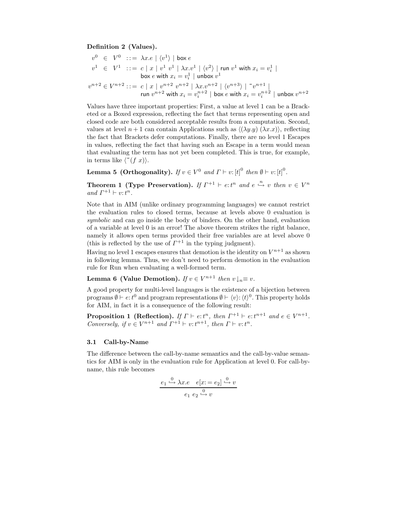### Definition 2 (Values).

$$
v^0 \in V^0 \; := \; \lambda x.e \mid \langle v^1 \rangle \mid \text{box } e
$$
  
\n
$$
v^1 \in V^1 \; := \; c \mid x \mid v^1 \mid v^1 \mid \lambda x.v^1 \mid \langle v^2 \rangle \mid \text{run } v^1 \text{ with } x_i = v_i^1 \mid
$$
  
\n
$$
\text{box } e \text{ with } x_i = v_i^1 \mid \text{unbox } v^1
$$
  
\n
$$
v^{n+2} \in V^{n+2} := \; c \mid x \mid v^{n+2} \mid v^{n+2} \mid \lambda x.v^{n+2} \mid \langle v^{n+3} \rangle \mid "v^{n+1} \mid
$$
  
\n
$$
\text{run } v^{n+2} \text{ with } x_i = v_i^{n+2} \mid \text{box } e \text{ with } x_i = v_i^{n+2} \mid \text{unbox } v^{n+2}
$$

Values have three important properties: First, a value at level 1 can be a Bracketed or a Boxed expression, reflecting the fact that terms representing open and closed code are both considered acceptable results from a computation. Second, values at level  $n + 1$  can contain Applications such as  $\langle (\lambda y. y) (\lambda x. x) \rangle$ , reflecting the fact that Brackets defer computations. Finally, there are no level 1 Escapes in values, reflecting the fact that having such an Escape in a term would mean that evaluating the term has not yet been completed. This is true, for example, in terms like  $\langle \tilde{f}(f \ x) \rangle$ .

**Lemma 5 (Orthogonality).** If  $v \in V^0$  and  $\Gamma \vdash v: [t]^0$  then  $\emptyset \vdash v: [t]^0$ .

**Theorem 1 (Type Preservation).** If  $\Gamma^{+1} \vdash e$ :  $t^n$  and  $e \stackrel{n}{\hookrightarrow} v$  then  $v \in V^n$ and  $\Gamma^{+1} \vdash v : t^n$ .

Note that in AIM (unlike ordinary programming languages) we cannot restrict the evaluation rules to closed terms, because at levels above 0 evaluation is symbolic and can go inside the body of binders. On the other hand, evaluation of a variable at level 0 is an error! The above theorem strikes the right balance, namely it allows open terms provided their free variables are at level above 0 (this is reflected by the use of  $\Gamma^{+1}$  in the typing judgment).

Having no level 1 escapes ensures that demotion is the identity on  $V^{n+1}$  as shown in following lemma. Thus, we don't need to perform demotion in the evaluation rule for Run when evaluating a well-formed term.

Lemma 6 (Value Demotion). If  $v \in V^{n+1}$  then  $v \downarrow_n \equiv v$ .

A good property for multi-level languages is the existence of a bijection between programs  $\emptyset \vdash e:t^0$  and program representations  $\emptyset \vdash \langle v \rangle : \langle t \rangle^0$ . This property holds for AIM, in fact it is a consequence of the following result:

**Proposition 1 (Reflection).** If  $\Gamma \vdash e:t^n$ , then  $\Gamma^{+1} \vdash e:t^{n+1}$  and  $e \in V^{n+1}$ . Conversely, if  $v \in V^{n+1}$  and  $\Gamma^{+1} \vdash v : t^{n+1}$ , then  $\Gamma \vdash v : t^n$ .

#### 3.1 Call-by-Name

The difference between the call-by-name semantics and the call-by-value semantics for AIM is only in the evaluation rule for Application at level 0. For call-byname, this rule becomes

$$
\underbrace{e_1 \xrightarrow{0} \lambda x.e} \quad e[x := e_2] \xrightarrow{0} v
$$

$$
e_1 \underbrace{e_2 \xrightarrow{0} v}
$$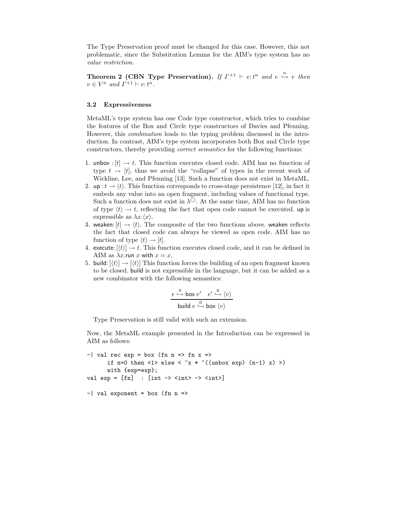The Type Preservation proof must be changed for this case. However, this not problematic, since the Substitution Lemma for the AIM's type system has no value restriction.

Theorem 2 (CBN Type Preservation). If  $\Gamma^{+1} \vdash e:t^n$  and  $e \stackrel{n}{\hookrightarrow} v$  then  $v \in V^n$  and  $\Gamma^{+1} \vdash v : t^n$ .

### 3.2 Expressiveness

MetaML's type system has one Code type constructor, which tries to combine the features of the Box and Circle type constructors of Davies and Pfenning. However, this combination leads to the typing problem discussed in the introduction. In contrast, AIM's type system incorporates both Box and Circle type constructors, thereby providing correct semantics for the following functions:

- 1. unbox :  $[t] \rightarrow t$ . This function executes closed code. AIM has no function of type  $t \to [t]$ , thus we avoid the "collapse" of types in the recent work of Wickline, Lee, and Pfenning [13]. Such a function does not exist in MetaML.
- 2. up  $:t \to \langle t \rangle$ . This function corresponds to cross-stage persistence [12], in fact it embeds any value into an open fragment, including values of functional type. Such a function does not exist in  $\lambda^{\circ}$ . At the same time, AIM has no function of type  $\langle t \rangle \rightarrow t$ , reflecting the fact that open code cannot be executed. up is expressible as  $\lambda x.\langle x \rangle$ .
- 3. weaken:  $[t] \rightarrow \langle t \rangle$ . The composite of the two functions above. weaken reflects the fact that closed code can always be viewed as open code. AIM has no function of type  $\langle t \rangle \rightarrow [t]$ .
- 4. execute:  $[\langle t \rangle] \rightarrow t$ . This function executes closed code, and it can be defined in AIM as  $\lambda x$ .run x with  $x = x$ .
- 5. build:  $|\langle t \rangle| \rightarrow |\langle t \rangle|$  This function forces the building of an open fragment known to be closed. build is not expressible in the language, but it can be added as a new combinator with the following semantics:

$$
\frac{e \stackrel{0}{\hookrightarrow} \mathsf{box} e'}{ \mathsf{build} e \stackrel{0}{\hookrightarrow} \mathsf{box} \langle v \rangle}
$$

Type Preservation is still valid with such an extension.

 $-$ | val exponent = box (fn n =>

Now, the MetaML example presented in the Introduction can be expressed in AIM as follows:

```
-| val rec exp = box (fn n => fn x =>
       if n=0 then \langle 1 \rangle else \langle x \times ( \text{unbox exp}) (n-1) x \rangle)
       with {exp=exp};
val exp = [fn] : (int -&gt; < int &gt; -&gt; < int &gt;]
```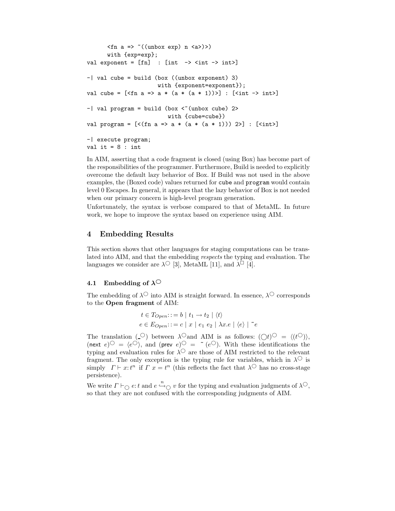```
\langlefn a => ~((unbox exp) n \langle a \rangle)>)
      with {exp=exp};
val exponent = [fn] : [int \ -> \langle int \ -> int >-| val cube = build (box ((unbox exponent) 3)
                        with {exponent=exponent});
val cube = [\text{fn a =} > a * (a * (a * 1)) >] : [\text{sint -} > \text{int} >]-| val program = build (box \lt "(unbox cube) 2>
                            with {cube=cube})
val program = [<(fn a =&gt; a * (a * (a * 1))) 2>] : [<i>int</i>]-| execute program;
val it = 8: int
```
In AIM, asserting that a code fragment is closed (using Box) has become part of the responsibilities of the programmer. Furthermore, Build is needed to explicitly overcome the default lazy behavior of Box. If Build was not used in the above examples, the (Boxed code) values returned for cube and program would contain level 0 Escapes. In general, it appears that the lazy behavior of Box is not needed when our primary concern is high-level program generation.

Unfortunately, the syntax is verbose compared to that of MetaML. In future work, we hope to improve the syntax based on experience using AIM.

# 4 Embedding Results

This section shows that other languages for staging computations can be translated into AIM, and that the embedding respects the typing and evaluation. The languages we consider are  $\lambda$ <sup>O</sup> [3], MetaML [11], and  $\lambda$ <sup> $\Box$ </sup> [4].

### 4.1 Embedding of  $\lambda$ <sup> $\circ$ </sup>

The embedding of  $\lambda^{\circlearrowright}$  into AIM is straight forward. In essence,  $\lambda^{\circlearrowright}$  corresponds to the Open fragment of AIM:

$$
t \in T_{Open}::= b \mid t_1 \to t_2 \mid \langle t \rangle
$$
  

$$
e \in E_{Open}::= c \mid x \mid e_1 \mid e_2 \mid \lambda x.e \mid \langle e \rangle \mid \tilde{e}
$$

The translation ( $\circ$ ) between  $\lambda^{\circ}$  and AIM is as follows: ( $\circ$ ) $\circ$  =  $\langle (t^{\circ}) \rangle$ , (next  $e$ ) $\overline{O} = \langle e^{\overline{O}} \rangle$ , and (prev  $e$ ) $\overline{O} = \tilde{e}$  ( $e^{\overline{O}}$ ). With these identifications the typing and evaluation rules for  $\lambda^{\circ}$  are those of AIM restricted to the relevant fragment. The only exception is the typing rule for variables, which in  $\lambda^{\circ}$  is simply  $\Gamma \vdash x : t^n$  if  $\Gamma x = t^n$  (this reflects the fact that  $\lambda^{\bigcirc}$  has no cross-stage persistence).

We write  $\Gamma \vdash_{\bigcirc} e:t$  and  $e \stackrel{n}{\hookrightarrow}_{\bigcirc} v$  for the typing and evaluation judgments of  $\lambda^{\bigcirc}$ , so that they are not confused with the corresponding judgments of AIM.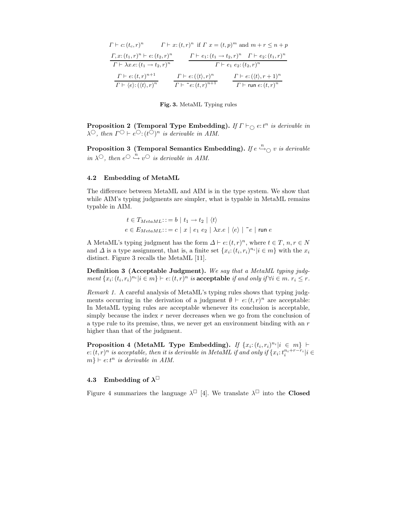| $\Gamma \vdash c: (t_c, r)^n$                                |                                             | $\Gamma \vdash x:(t,r)^n$ if $\Gamma x=(t,p)^m$ and $m+r \leq n+p$              |
|--------------------------------------------------------------|---------------------------------------------|---------------------------------------------------------------------------------|
| $\Gamma, x: (t_1, r)^n \vdash e: (t_2, r)^n$                 |                                             | $\Gamma \vdash e_1: (t_1 \rightarrow t_2, r)^n$ $\Gamma \vdash e_2: (t_1, r)^n$ |
| $\Gamma \vdash \lambda x.e: (t_1 \rightarrow t_2, r)^n$      |                                             | $\Gamma \vdash e_1 \; e_2 : (t_2, r)^n$                                         |
| $\Gamma \vdash e: (t,r)^{n+1}$                               | $\Gamma \vdash e: (\langle t \rangle, r)^n$ | $\Gamma \vdash e: (\langle t \rangle, r+1)^n$                                   |
| $\Gamma \vdash \langle e \rangle : (\langle t \rangle, r)^n$ | $\Gamma \vdash$ " $e: (t,r)^{n+1}$          | $\Gamma \vdash$ run $e: (t,r)^n$                                                |

#### Fig. 3. MetaML Typing rules

**Proposition 2 (Temporal Type Embedding).** If  $\Gamma \vdash_{\bigcirc} e:t^n$  is derivable in  $\lambda^{\bigcirc}$ , then  $\Gamma^{\bigcirc} \vdash e^{\bigcirc} \cdot (t^{\bigcirc})^n$  is derivable in AIM.

Proposition 3 (Temporal Semantics Embedding). If  $e\stackrel{n}{\hookrightarrow}_\mathbb{O} v$  is derivable in  $\lambda^{\bigcirc}$ , then  $e^{\bigcirc} \stackrel{n}{\hookrightarrow} v^{\bigcirc}$  is derivable in AIM.

### 4.2 Embedding of MetaML

The difference between MetaML and AIM is in the type system. We show that while AIM's typing judgments are simpler, what is typable in MetaML remains typable in AIM.

$$
t \in T_{MetaML} ::= b \mid t_1 \rightarrow t_2 \mid \langle t \rangle
$$
  

$$
e \in E_{MetaML} ::= c \mid x \mid e_1 \mid e_2 \mid \lambda x.e \mid \langle e \rangle \mid \tilde{e} \mid \text{run } e
$$

A MetaML's typing judgment has the form  $\Delta \vdash e: (t, r)^n$ , where  $t \in T$ ,  $n, r \in N$ and  $\Delta$  is a type assignment, that is, a finite set  $\{x_i: (t_i, r_i)^{n_i} | i \in m\}$  with the  $x_i$ distinct. Figure 3 recalls the MetaML [11].

Definition 3 (Acceptable Judgment). We say that a MetaML typing judgment  $\{x_i: (t_i, r_i)^{n_i} | i \in m\} \vdash e: (t, r)^n$  is acceptable if and only if  $\forall i \in m$ .  $r_i \leq r$ .

Remark 1. A careful analysis of MetaML's typing rules shows that typing judgments occurring in the derivation of a judgment  $\emptyset \vdash e: (t, r)^n$  are acceptable: In MetaML typing rules are acceptable whenever its conclusion is acceptable, simply because the index  $r$  never decreases when we go from the conclusion of a type rule to its premise, thus, we never get an environment binding with an  $r$ higher than that of the judgment.

Proposition 4 (MetaML Type Embedding). If  $\{x_i: (t_i, r_i)^{n_i} | i \in m\}$  $e:(t, r)^n$  is acceptable, then it is derivable in MetaML if and only if  $\{x_i : t_i^{n_i+r-r_i} | i \in$  $m\} \vdash e:t^n$  is derivable in AIM.

# 4.3 Embedding of  $\lambda^\square$

Figure 4 summarizes the language  $\lambda^{\Box}$  [4]. We translate  $\lambda^{\Box}$  into the **Closed**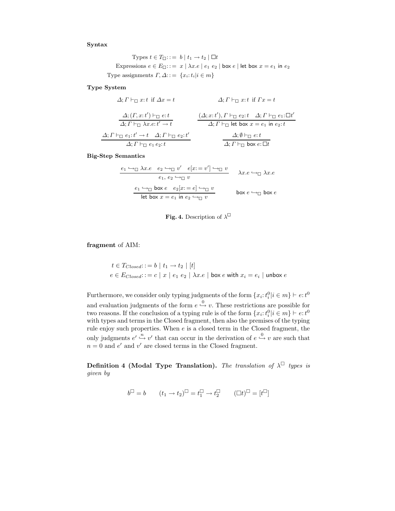Syntax

Types  $t \in T_{\square}$ :: $= b \mid t_1 \rightarrow t_2 \mid \square t$ Expressions  $e \in E_{\Box}$ ::=  $x \mid \lambda x.e \mid e_1 \mid e_2 \mid$  box  $e \mid$  let box  $x = e_1$  in  $e_2$ Type assignments  $\Gamma, \Delta$ : : =  $\{x_i : t_i | i \in m\}$ 

Type System

$$
\Delta; \Gamma \vdash_{\Box} x:t \text{ if } \Delta x = t \qquad \Delta; \Gamma \vdash_{\Box} x:t \text{ if } \Gamma x = t
$$
\n
$$
\frac{\Delta; (\Gamma, x:t') \vdash_{\Box} e:t}{\Delta; \Gamma \vdash_{\Box} \lambda x.e:t' \to t} \qquad \frac{(\Delta; x:t'), \Gamma \vdash_{\Box} e_2:t \quad \Delta; \Gamma \vdash_{\Box} e_1: \Box t'}{\Delta; \Gamma \vdash_{\Box} \text{ let box } x = e_1 \text{ in } e_2:t}
$$
\n
$$
\frac{\Delta; \Gamma \vdash_{\Box} e_1: t' \to t \quad \Delta; \Gamma \vdash_{\Box} e_2: t'}{\Delta; \Gamma \vdash_{\Box} e_1 e_2: t} \qquad \frac{\Delta; \emptyset \vdash_{\Box} e:t}{\Delta; \Gamma \vdash_{\Box} \text{ box } e: \Box t}
$$

Big-Step Semantics

$$
\begin{array}{cccc}\n e_1 \hookrightarrow_{\Box} \lambda x.e & e_2 \hookrightarrow_{\Box} v' & e[x := v'] \hookrightarrow_{\Box} v \\
 & e_1, e_2 \hookrightarrow_{\Box} v & \lambda x.e \hookrightarrow_{\Box} \lambda x.e \\
 & \xrightarrow{e_1} \hookrightarrow_{\Box} \text{box } e & e_2[x := e] \hookrightarrow_{\Box} v \\
 \hline\n & \text{let box } x = e_1 \text{ in } e_2 \hookrightarrow_{\Box} v & \text{box } e \hookrightarrow_{\Box} \text{box } e\n \end{array}
$$



fragment of AIM:

 $t \in T_{Closed}$ :  $= b \mid t_1 \rightarrow t_2 \mid [t]$  $e \in E_{Closed} \coloncoloneqq c \mid x \mid e_1 \ e_2 \mid \lambda x . e \mid$  box  $e$  with  $x_i = e_i \mid$  unbox  $e$ 

Furthermore, we consider only typing judgments of the form  $\{x_i : t_i^0 | i \in m\} \vdash e : t^0$ and evaluation judgments of the form  $e \stackrel{0}{\hookrightarrow} v$ . These restrictions are possible for two reasons. If the conclusion of a typing rule is of the form  $\{x_i : t_i^0 | i \in m\} \vdash e : t^0$ with types and terms in the Closed fragment, then also the premises of the typing rule enjoy such properties. When  $e$  is a closed term in the Closed fragment, the only judgments  $e' \stackrel{n}{\hookrightarrow} v'$  that can occur in the derivation of  $e \stackrel{0}{\hookrightarrow} v$  are such that  $n = 0$  and  $e'$  and  $v'$  are closed terms in the Closed fragment.

Definition 4 (Modal Type Translation). The translation of  $\lambda^{\Box}$  types is given by

$$
b^\square = b \qquad (t_1 \to t_2)^\square = t_1^\square \to t_2^\square \qquad (\square t)^\square = [t^\square]
$$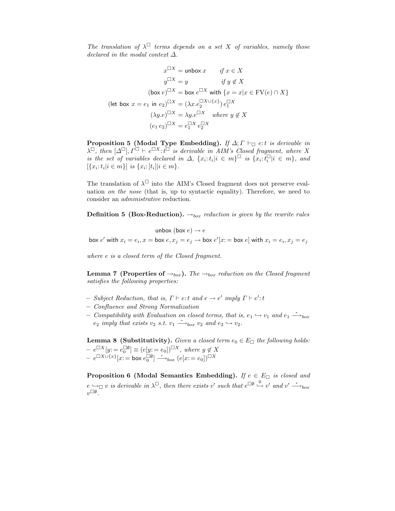The translation of  $\lambda^{\square}$  terms depends on a set X of variables, namely those declared in the modal context  $\Delta$ .

$$
x^{\Box X} = \text{unbox } x \quad \text{if } x \in X
$$

$$
y^{\Box X} = y \quad \text{if } y \notin X
$$

$$
(\text{box } e)^{\Box X} = \text{box } e^{\Box X} \text{ with } \{x = x | x \in \text{FV}(e) \cap X\}
$$

$$
(\text{let box } x = e_1 \text{ in } e_2)^{\Box X} = (\lambda x. e_2^{\Box X \cup \{x\}}) e_1^{\Box X}
$$

$$
(\lambda y. e)^{\Box X} = \lambda y. e^{\Box X} \quad \text{where } y \notin X
$$

$$
(e_1 e_2)^{\Box X} = e_1^{\Box X} e_2^{\Box X}
$$

**Proposition 5 (Modal Type Embedding).** If  $\Delta; \Gamma \vdash_{\Box} e:t$  is derivable in  $\lambda^{\square}$ , then  $[\Delta^{\square}], \Gamma^{\square} \vdash e^{\square X} \cdot t^{\square}$  is derivable in AIM's Closed fragment, where X is the set of variables declared in  $\Delta$ ,  $\{x_i : t_i | i \in m\}^{\square}$  is  $\{x_i : t_i^{\square} | i \in m\}$ , and  $[\{x_i : t_i | i \in m\}]$  is  $\{x_i : [t_i] | i \in m\}.$ 

The translation of  $\lambda^{\square}$  into the AIM's Closed fragment does not preserve evaluation on the nose (that is, up to syntactic equality). Therefore, we need to consider an administrative reduction.

**Definition 5 (Box-Reduction).**  $\rightarrow_{box}$  reduction is given by the rewrite rules

unbox (box  $e$ )  $\rightarrow e$ box  $e'$  with  $x_i = e_i$ ,  $x =$  box  $e, x_j = e_j \rightarrow$  box  $e'[x :=$  box  $e]$  with  $x_i = e_i$ ,  $x_j = e_j$ 

where e is a closed term of the Closed fragment.

**Lemma 7 (Properties of**  $\rightarrow_{box}$ ). The  $\rightarrow_{box}$  reduction on the Closed fragment satisfies the following properties:

- Subject Reduction, that is,  $\Gamma \vdash e$ : t and  $e \rightarrow e'$  imply  $\Gamma \vdash e'$ : t
- Confluence and Strong Normalization
- − Compatibility with Evaluation on closed terms, that is,  $e_1 \hookrightarrow v_1$  and  $e_1 \stackrel{*}{\longrightarrow}_{box}$  $e_2$  imply that exists  $v_2$  s.t.  $v_1 \stackrel{*}{\longrightarrow}_{box} v_2$  and  $e_2 \hookrightarrow v_2$ .

**Lemma 8 (Substitutivity).** Given a closed term  $e_0 \in E_{\Box}$  the following holds:  $-e^{\Box X}[y;=e_0^{\Box \emptyset}] \equiv (e[y;=e_0])^{\Box X}, where y \notin X$  $-e^{\Box X \cup \{x\}}[x]=\mathsf{box}\;e^{\Box \emptyset}_{0}]\stackrel{*}{\longrightarrow}_{box}\;(e[x:=e_{0}])^{\Box X}$ 

**Proposition 6 (Modal Semantics Embedding).** If  $e \in E$  is closed and  $e \rightarrow_{\Box} v$  is derivable in  $\lambda^{\Box}$ , then there exists v' such that  $e^{\Box \emptyset} \stackrel{0}{\hookrightarrow} v'$  and  $v' \stackrel{*}{\longrightarrow}_{box}$  $v^{\Box \emptyset}$ .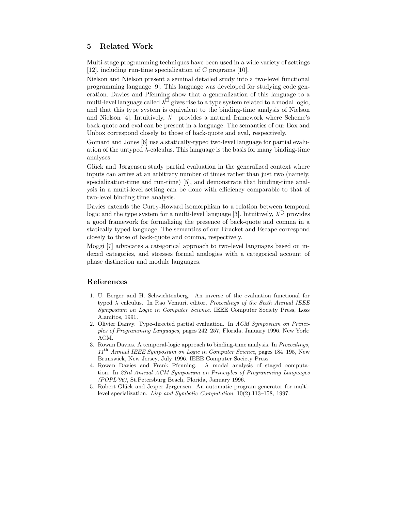# 5 Related Work

Multi-stage programming techniques have been used in a wide variety of settings [12], including run-time specialization of C programs [10].

Nielson and Nielson present a seminal detailed study into a two-level functional programming language [9]. This language was developed for studying code generation. Davies and Pfenning show that a generalization of this language to a multi-level language called  $\lambda^{\square}$  gives rise to a type system related to a modal logic, and that this type system is equivalent to the binding-time analysis of Nielson and Nielson [4]. Intuitively,  $\lambda^{\mathbb{C}}$  provides a natural framework where Scheme's back-quote and eval can be present in a language. The semantics of our Box and Unbox correspond closely to those of back-quote and eval, respectively.

Gomard and Jones [6] use a statically-typed two-level language for partial evaluation of the untyped  $\lambda$ -calculus. This language is the basis for many binding-time analyses.

Glück and Jørgensen study partial evaluation in the generalized context where inputs can arrive at an arbitrary number of times rather than just two (namely, specialization-time and run-time) [5], and demonstrate that binding-time analysis in a multi-level setting can be done with efficiency comparable to that of two-level binding time analysis.

Davies extends the Curry-Howard isomorphism to a relation between temporal logic and the type system for a multi-level language [3]. Intuitively,  $\lambda^{\circ}$  provides a good framework for formalizing the presence of back-quote and comma in a statically typed language. The semantics of our Bracket and Escape correspond closely to those of back-quote and comma, respectively.

Moggi [7] advocates a categorical approach to two-level languages based on indexed categories, and stresses formal analogies with a categorical account of phase distinction and module languages.

# References

- 1. U. Berger and H. Schwichtenberg. An inverse of the evaluation functional for typed  $\lambda$ -calculus. In Rao Vemuri, editor, *Proceedings of the Sixth Annual IEEE* Symposium on Logic in Computer Science. IEEE Computer Society Press, Loss Alamitos, 1991.
- 2. Olivier Danvy. Type-directed partial evaluation. In ACM Symposium on Principles of Programming Languages, pages 242–257, Florida, January 1996. New York: ACM.
- 3. Rowan Davies. A temporal-logic approach to binding-time analysis. In Proceedings,  $11<sup>th</sup>$  Annual IEEE Symposium on Logic in Computer Science, pages 184–195, New Brunswick, New Jersey, July 1996. IEEE Computer Society Press.
- 4. Rowan Davies and Frank Pfenning. A modal analysis of staged computation. In 23rd Annual ACM Symposium on Principles of Programming Languages (POPL'96), St.Petersburg Beach, Florida, January 1996.
- 5. Robert Glück and Jesper Jørgensen. An automatic program generator for multilevel specialization. Lisp and Symbolic Computation, 10(2):113–158, 1997.